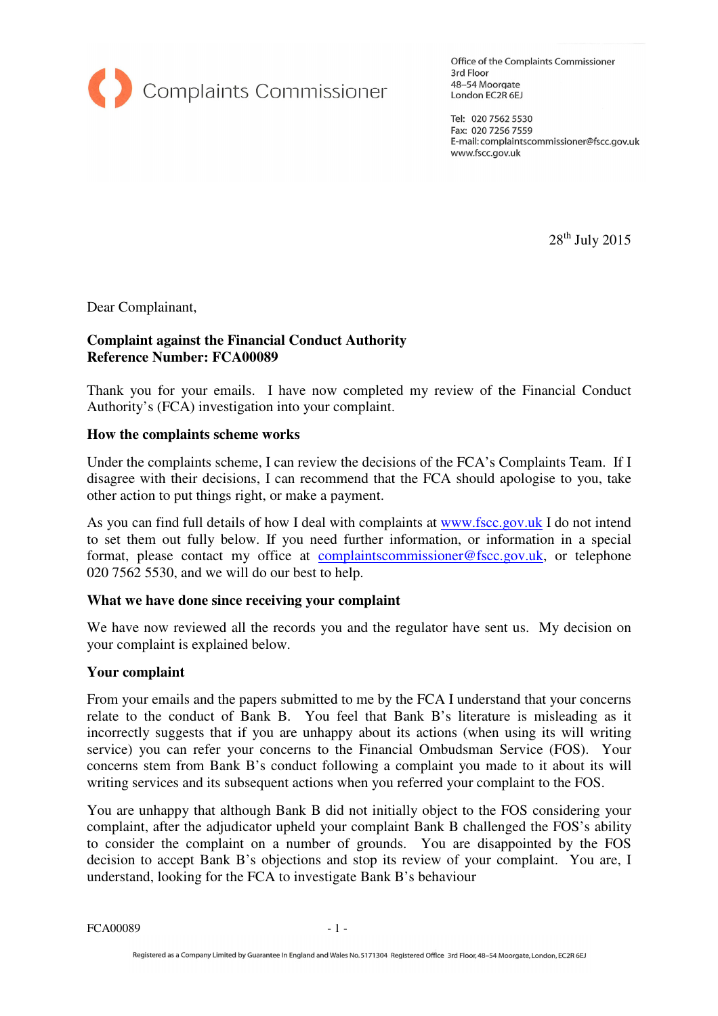

Office of the Complaints Commissioner 3rd Floor 48-54 Moorgate London EC2R 6EJ

Tel: 020 7562 5530 Fax: 020 7256 7559 E-mail: complaintscommissioner@fscc.gov.uk www.fscc.gov.uk

 $28<sup>th</sup>$  July 2015

Dear Complainant,

### **Complaint against the Financial Conduct Authority Reference Number: FCA00089**

Thank you for your emails. I have now completed my review of the Financial Conduct Authority's (FCA) investigation into your complaint.

#### **How the complaints scheme works**

Under the complaints scheme, I can review the decisions of the FCA's Complaints Team. If I disagree with their decisions, I can recommend that the FCA should apologise to you, take other action to put things right, or make a payment.

As you can find full details of how I deal with complaints at www.fscc.gov.uk I do not intend to set them out fully below. If you need further information, or information in a special format, please contact my office at complaintscommissioner@fscc.gov.uk, or telephone 020 7562 5530, and we will do our best to help.

### **What we have done since receiving your complaint**

We have now reviewed all the records you and the regulator have sent us. My decision on your complaint is explained below.

### **Your complaint**

From your emails and the papers submitted to me by the FCA I understand that your concerns relate to the conduct of Bank B. You feel that Bank B's literature is misleading as it incorrectly suggests that if you are unhappy about its actions (when using its will writing service) you can refer your concerns to the Financial Ombudsman Service (FOS). Your concerns stem from Bank B's conduct following a complaint you made to it about its will writing services and its subsequent actions when you referred your complaint to the FOS.

You are unhappy that although Bank B did not initially object to the FOS considering your complaint, after the adjudicator upheld your complaint Bank B challenged the FOS's ability to consider the complaint on a number of grounds. You are disappointed by the FOS decision to accept Bank B's objections and stop its review of your complaint. You are, I understand, looking for the FCA to investigate Bank B's behaviour

FCA00089 - 1 -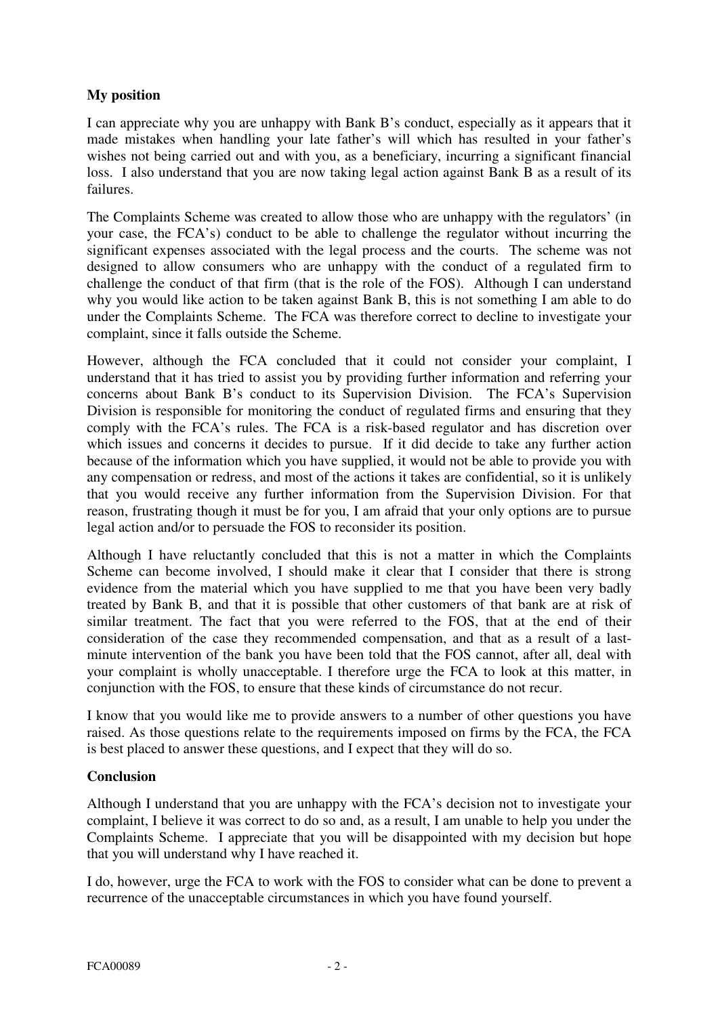# **My position**

I can appreciate why you are unhappy with Bank B's conduct, especially as it appears that it made mistakes when handling your late father's will which has resulted in your father's wishes not being carried out and with you, as a beneficiary, incurring a significant financial loss. I also understand that you are now taking legal action against Bank B as a result of its failures.

The Complaints Scheme was created to allow those who are unhappy with the regulators' (in your case, the FCA's) conduct to be able to challenge the regulator without incurring the significant expenses associated with the legal process and the courts. The scheme was not designed to allow consumers who are unhappy with the conduct of a regulated firm to challenge the conduct of that firm (that is the role of the FOS). Although I can understand why you would like action to be taken against Bank B, this is not something I am able to do under the Complaints Scheme. The FCA was therefore correct to decline to investigate your complaint, since it falls outside the Scheme.

However, although the FCA concluded that it could not consider your complaint, I understand that it has tried to assist you by providing further information and referring your concerns about Bank B's conduct to its Supervision Division. The FCA's Supervision Division is responsible for monitoring the conduct of regulated firms and ensuring that they comply with the FCA's rules. The FCA is a risk-based regulator and has discretion over which issues and concerns it decides to pursue. If it did decide to take any further action because of the information which you have supplied, it would not be able to provide you with any compensation or redress, and most of the actions it takes are confidential, so it is unlikely that you would receive any further information from the Supervision Division. For that reason, frustrating though it must be for you, I am afraid that your only options are to pursue legal action and/or to persuade the FOS to reconsider its position.

Although I have reluctantly concluded that this is not a matter in which the Complaints Scheme can become involved, I should make it clear that I consider that there is strong evidence from the material which you have supplied to me that you have been very badly treated by Bank B, and that it is possible that other customers of that bank are at risk of similar treatment. The fact that you were referred to the FOS, that at the end of their consideration of the case they recommended compensation, and that as a result of a lastminute intervention of the bank you have been told that the FOS cannot, after all, deal with your complaint is wholly unacceptable. I therefore urge the FCA to look at this matter, in conjunction with the FOS, to ensure that these kinds of circumstance do not recur.

I know that you would like me to provide answers to a number of other questions you have raised. As those questions relate to the requirements imposed on firms by the FCA, the FCA is best placed to answer these questions, and I expect that they will do so.

## **Conclusion**

Although I understand that you are unhappy with the FCA's decision not to investigate your complaint, I believe it was correct to do so and, as a result, I am unable to help you under the Complaints Scheme. I appreciate that you will be disappointed with my decision but hope that you will understand why I have reached it.

I do, however, urge the FCA to work with the FOS to consider what can be done to prevent a recurrence of the unacceptable circumstances in which you have found yourself.